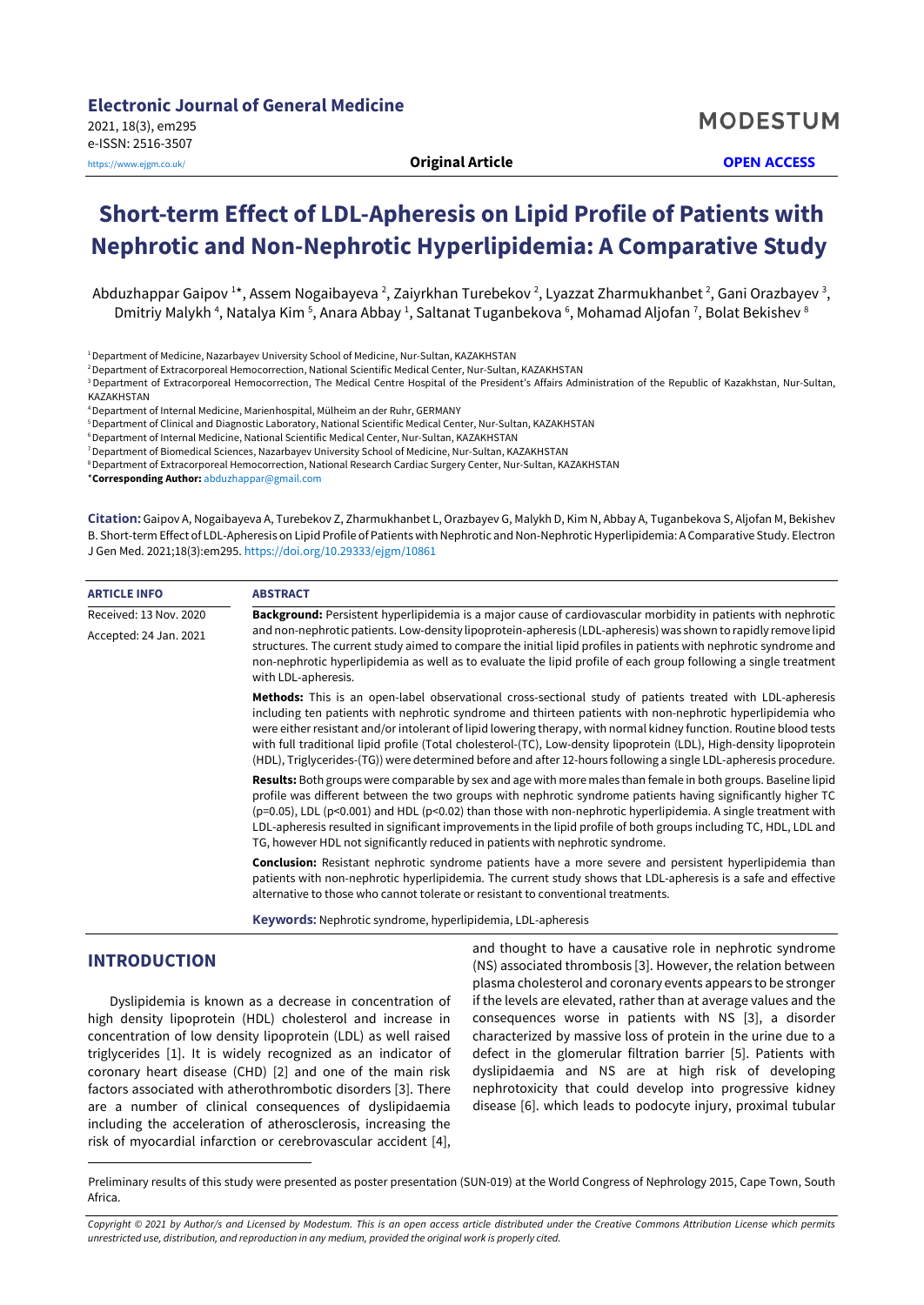# **Short-term Effect of LDL-Apheresis on Lipid Profile of Patients with Nephrotic and Non-Nephrotic Hyperlipidemia: A Comparative Study**

Abduzhappar Gaipov 1\*, Assem Nogaibayeva <sup>2</sup>, Zaiyrkhan Turebekov <sup>2</sup>, Lyazzat Zharmukhanbet <sup>2</sup>, Gani Orazbayev <sup>3</sup>, Dmitriy Malykh <sup>4</sup>, Natalya Kim <sup>5</sup>, Anara Abbay <sup>1</sup>, Saltanat Tuganbekova <sup>6</sup>, Mohamad Aljofan <sup>7</sup>, Bolat Bekishev <sup>8</sup>

<sup>1</sup> Department of Medicine, Nazarbayev University School of Medicine, Nur-Sultan, KAZAKHSTAN

2Department of Extracorporeal Hemocorrection, National Scientific Medical Center, Nur-Sultan, KAZAKHSTAN

<sup>3</sup> Department of Extracorporeal Hemocorrection, The Medical Centre Hospital of the President's Affairs Administration of the Republic of Kazakhstan, Nur-Sultan, KAZAKHSTAN

4Department of Internal Medicine, Marienhospital, Mülheim an der Ruhr, GERMANY

5Department of Clinical and Diagnostic Laboratory, National Scientific Medical Center, Nur-Sultan, KAZAKHSTAN

<sup>6</sup> Department of Internal Medicine, National Scientific Medical Center, Nur-Sultan, KAZAKHSTAN

7Department of Biomedical Sciences, Nazarbayev University School of Medicine, Nur-Sultan, KAZAKHSTAN

8 Department of Extracorporeal Hemocorrection, National Research Cardiac Surgery Center, Nur-Sultan, KAZAKHSTAN

\***Corresponding Author:** [abduzhappar@gmail.com](mailto:abduzhappar@gmail.com)

**Citation:** Gaipov A, Nogaibayeva A, Turebekov Z, Zharmukhanbet L, Orazbayev G, Malykh D, Kim N, Abbay A, Tuganbekova S, Aljofan M, Bekishev B. Short-term Effect of LDL-Apheresis on Lipid Profile of Patients with Nephrotic and Non-Nephrotic Hyperlipidemia: A Comparative Study. Electron J Gen Med. 2021;18(3):em295. <https://doi.org/10.29333/ejgm/10861>

| <b>ARTICLE INFO</b>    | <b>ABSTRACT</b>                                                                                                                                                                                                                                                                                                                                                                                                                                                                                                                                                                            |  |  |  |
|------------------------|--------------------------------------------------------------------------------------------------------------------------------------------------------------------------------------------------------------------------------------------------------------------------------------------------------------------------------------------------------------------------------------------------------------------------------------------------------------------------------------------------------------------------------------------------------------------------------------------|--|--|--|
| Received: 13 Nov. 2020 | Background: Persistent hyperlipidemia is a major cause of cardiovascular morbidity in patients with nephrotic                                                                                                                                                                                                                                                                                                                                                                                                                                                                              |  |  |  |
| Accepted: 24 Jan. 2021 | and non-nephrotic patients. Low-density lipoprotein-apheresis (LDL-apheresis) was shown to rapidly remove lipid<br>structures. The current study aimed to compare the initial lipid profiles in patients with nephrotic syndrome and<br>non-nephrotic hyperlipidemia as well as to evaluate the lipid profile of each group following a single treatment<br>with LDL-apheresis.                                                                                                                                                                                                            |  |  |  |
|                        | Methods: This is an open-label observational cross-sectional study of patients treated with LDL-apheresis<br>including ten patients with nephrotic syndrome and thirteen patients with non-nephrotic hyperlipidemia who<br>were either resistant and/or intolerant of lipid lowering therapy, with normal kidney function. Routine blood tests<br>with full traditional lipid profile (Total cholesterol-(TC), Low-density lipoprotein (LDL), High-density lipoprotein<br>(HDL), Triglycerides-(TG)) were determined before and after 12-hours following a single LDL-apheresis procedure. |  |  |  |
|                        | Results: Both groups were comparable by sex and age with more males than female in both groups. Baseline lipid<br>profile was different between the two groups with nephrotic syndrome patients having significantly higher TC<br>$(p=0.05)$ , LDL $(p<0.001)$ and HDL $(p<0.02)$ than those with non-nephrotic hyperlipidemia. A single treatment with<br>LDL-apheresis resulted in significant improvements in the lipid profile of both groups including TC, HDL, LDL and<br>TG, however HDL not significantly reduced in patients with nephrotic syndrome.                             |  |  |  |
|                        | Conclusion: Resistant nephrotic syndrome patients have a more severe and persistent hyperlipidemia than<br>patients with non-nephrotic hyperlipidemia. The current study shows that LDL-apheresis is a safe and effective<br>alternative to those who cannot tolerate or resistant to conventional treatments.                                                                                                                                                                                                                                                                             |  |  |  |
|                        | <b>Keywords:</b> Nephrotic syndrome, hyperlipidemia, LDL-apheresis                                                                                                                                                                                                                                                                                                                                                                                                                                                                                                                         |  |  |  |

## **INTRODUCTION**

Dyslipidemia is known as a decrease in concentration of high density lipoprotein (HDL) cholesterol and increase in concentration of low density lipoprotein (LDL) as well raised triglycerides [1]. It is widely recognized as an indicator of coronary heart disease (CHD) [2] and one of the main risk factors associated with atherothrombotic disorders [3]. There are a number of clinical consequences of dyslipidaemia including the acceleration of atherosclerosis, increasing the risk of myocardial infarction or cerebrovascular accident [4],

and thought to have a causative role in nephrotic syndrome (NS) associated thrombosis [3]. However, the relation between plasma cholesterol and coronary events appears to be stronger if the levels are elevated, rather than at average values and the consequences worse in patients with NS [3], a disorder characterized by massive loss of protein in the urine due to a defect in the glomerular filtration barrier [5]. Patients with dyslipidaemia and NS are at high risk of developing nephrotoxicity that could develop into progressive kidney disease [6]. which leads to podocyte injury, proximal tubular

<span id="page-0-0"></span>Preliminary results of this study were presented as poster presentation (SUN-019) at the World Congress of Nephrology 2015, Cape Town, South Africa.

Copyright © 2021 by Author/s and Licensed by Modestum. This is an open access article distributed under the Creative Commons Attribution License which permits *unrestricted use, distribution, and reproduction in any medium, provided the original work is properly cited.*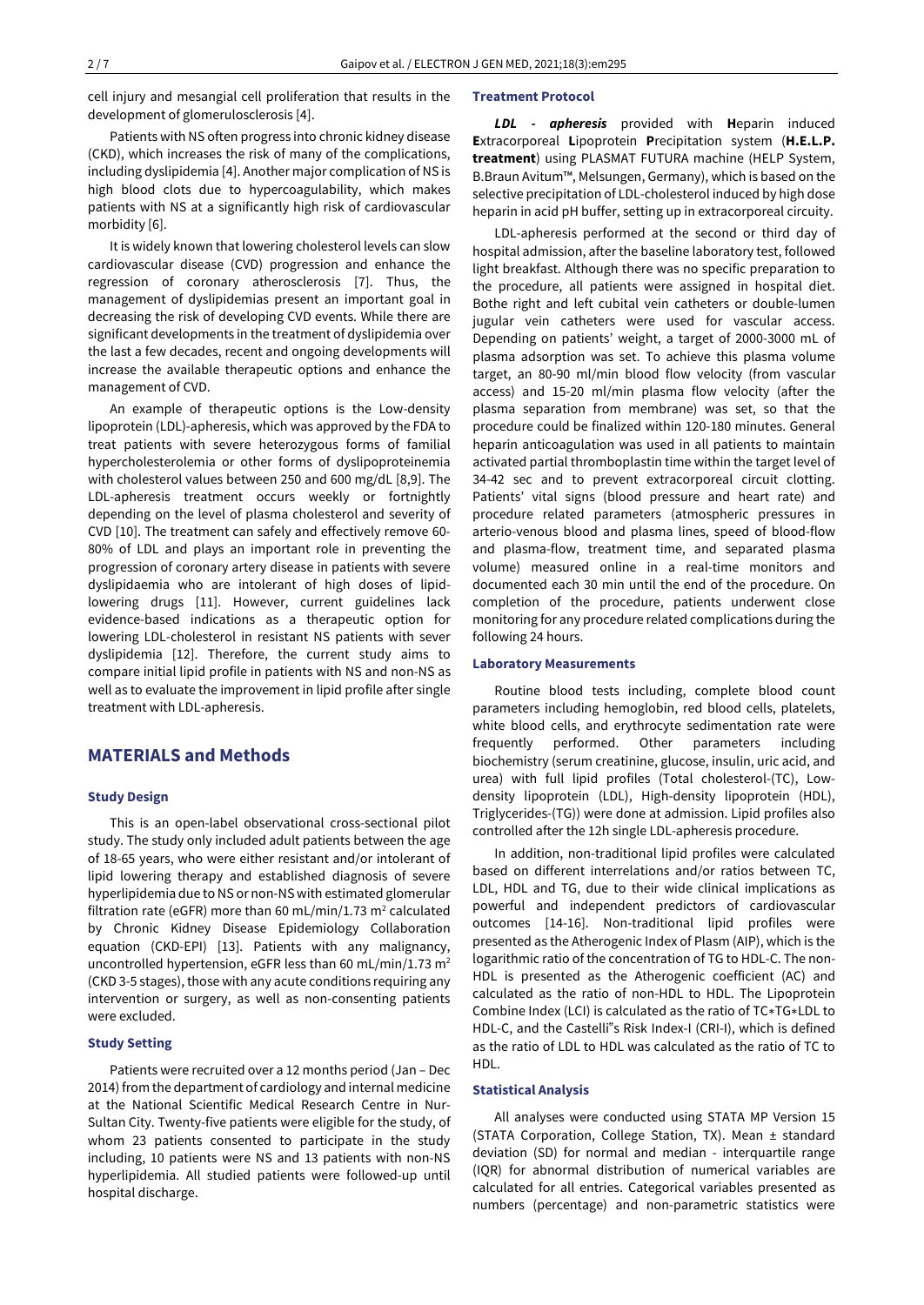cell injury and mesangial cell proliferation that results in the development of glomerulosclerosis [4].

Patients with NS often progress into chronic kidney disease (CKD), which increases the risk of many of the complications, including dyslipidemia [4]. Another major complication of NS is high blood clots due to hypercoagulability, which makes patients with NS at a significantly high risk of cardiovascular morbidity [6].

It is widely known that lowering cholesterol levels can slow cardiovascular disease (CVD) progression and enhance the regression of coronary atherosclerosis [7]. Thus, the management of dyslipidemias present an important goal in decreasing the risk of developing CVD events. While there are significant developments in the treatment of dyslipidemia over the last a few decades, recent and ongoing developments will increase the available therapeutic options and enhance the management of CVD.

An example of therapeutic options is the Low-density lipoprotein (LDL)-apheresis, which was approved by the FDA to treat patients with severe heterozygous forms of familial hypercholesterolemia or other forms of dyslipoproteinemia with cholesterol values between 250 and 600 mg/dL [8,9]. The LDL-apheresis treatment occurs weekly or fortnightly depending on the level of plasma cholesterol and severity of CVD [10]. The treatment can safely and effectively remove 60- 80% of LDL and plays an important role in preventing the progression of coronary artery disease in patients with severe dyslipidaemia who are intolerant of high doses of lipidlowering drugs [11]. However, current guidelines lack evidence-based indications as a therapeutic option for lowering LDL-cholesterol in resistant NS patients with sever dyslipidemia [12]. Therefore, the current study aims to compare initial lipid profile in patients with NS and non-NS as well as to evaluate the improvement in lipid profile after single treatment with LDL-apheresis.

# **MATERIALS and Methods**

#### **Study Design**

This is an open-label observational cross-sectional pilot study. The study only included adult patients between the age of 18-65 years, who were either resistant and/or intolerant of lipid lowering therapy and established diagnosis of severe hyperlipidemia due to NS or non-NS with estimated glomerular filtration rate (eGFR) more than 60 mL/min/1.73  $m^2$  calculated by Chronic Kidney Disease Epidemiology Collaboration equation (CKD-EPI) [13]. Patients with any malignancy, uncontrolled hypertension, eGFR less than 60 mL/min/1.73 m<sup>2</sup> (CKD 3-5 stages), those with any acute conditions requiring any intervention or surgery, as well as non-consenting patients were excluded.

## **Study Setting**

Patients were recruited over a 12 months period (Jan – Dec 2014) from the department of cardiology and internal medicine at the National Scientific Medical Research Centre in Nur-Sultan City. Twenty-five patients were eligible for the study, of whom 23 patients consented to participate in the study including, 10 patients were NS and 13 patients with non-NS hyperlipidemia. All studied patients were followed-up until hospital discharge.

## **Treatment Protocol**

*LDL - apheresis* provided with **H**eparin induced **E**xtracorporeal **L**ipoprotein **P**recipitation system (**H.E.L.P. treatment**) using PLASMAT FUTURA machine (HELP System, B.Braun Avitum™, Melsungen, Germany), which is based on the selective precipitation of LDL-cholesterol induced by high dose heparin in acid pH buffer, setting up in extracorporeal circuity.

LDL-apheresis performed at the second or third day of hospital admission, after the baseline laboratory test, followed light breakfast. Although there was no specific preparation to the procedure, all patients were assigned in hospital diet. Bothe right and left cubital vein catheters or double-lumen jugular vein catheters were used for vascular access. Depending on patients' weight, a target of 2000-3000 mL of plasma adsorption was set. To achieve this plasma volume target, an 80-90 ml/min blood flow velocity (from vascular access) and 15-20 ml/min plasma flow velocity (after the plasma separation from membrane) was set, so that the procedure could be finalized within 120-180 minutes. General heparin anticoagulation was used in all patients to maintain activated partial thromboplastin time within the target level of 34-42 sec and to prevent extracorporeal circuit clotting. Patients' vital signs (blood pressure and heart rate) and procedure related parameters (atmospheric pressures in arterio-venous blood and plasma lines, speed of blood-flow and plasma-flow, treatment time, and separated plasma volume) measured online in a real-time monitors and documented each 30 min until the end of the procedure. On completion of the procedure, patients underwent close monitoring for any procedure related complications during the following 24 hours.

#### **Laboratory Measurements**

Routine blood tests including, complete blood count parameters including hemoglobin, red blood cells, platelets, white blood cells, and erythrocyte sedimentation rate were frequently performed. Other parameters including biochemistry (serum creatinine, glucose, insulin, uric acid, and urea) with full lipid profiles (Total cholesterol-(TC), Lowdensity lipoprotein (LDL), High-density lipoprotein (HDL), Triglycerides-(TG)) were done at admission. Lipid profiles also controlled after the 12h single LDL-apheresis procedure.

In addition, non-traditional lipid profiles were calculated based on different interrelations and/or ratios between TC, LDL, HDL and TG, due to their wide clinical implications as powerful and independent predictors of cardiovascular outcomes [14-16]. Non-traditional lipid profiles were presented as the Atherogenic Index of Plasm (AIP), which is the logarithmic ratio of the concentration of TG to HDL-C. The non-HDL is presented as the Atherogenic coefficient (AC) and calculated as the ratio of non-HDL to HDL. The Lipoprotein Combine Index (LCI) is calculated as the ratio of TC∗TG∗LDL to HDL-C, and the Castelli"s Risk Index-I (CRI-I), which is defined as the ratio of LDL to HDL was calculated as the ratio of TC to HDL.

## **Statistical Analysis**

All analyses were conducted using STATA MP Version 15 (STATA Corporation, College Station, TX). Mean ± standard deviation (SD) for normal and median - interquartile range (IQR) for abnormal distribution of numerical variables are calculated for all entries. Categorical variables presented as numbers (percentage) and non-parametric statistics were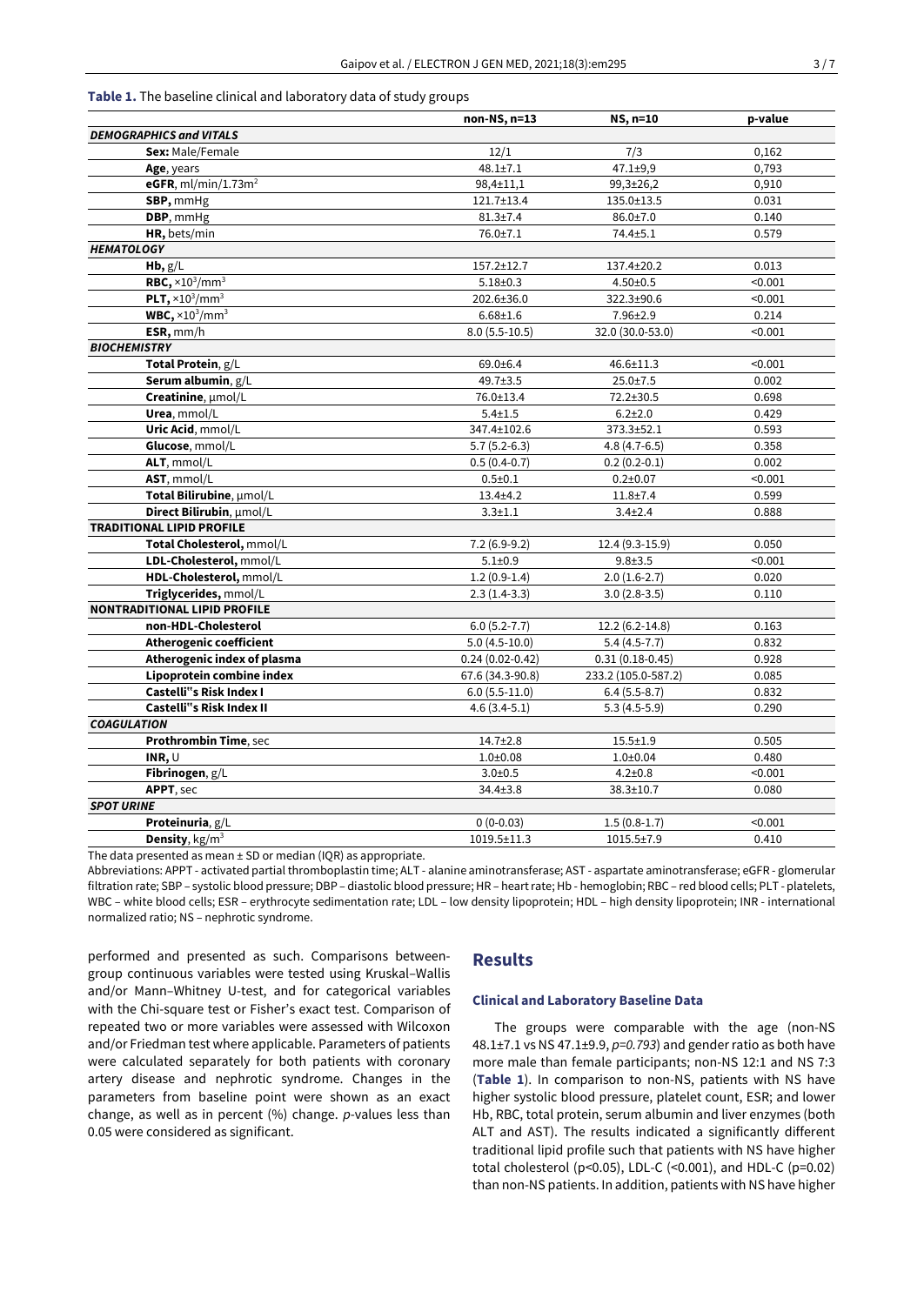#### **Table 1.** The baseline clinical and laboratory data of study groups

|                                     | non-NS, n=13        | NS, n=10                   | p-value |
|-------------------------------------|---------------------|----------------------------|---------|
| <b>DEMOGRAPHICS and VITALS</b>      |                     |                            |         |
| Sex: Male/Female                    | 12/1                | 7/3                        | 0,162   |
| Age, years                          | $48.1 \pm 7.1$      | $47.1 \pm 9.9$             | 0,793   |
| eGFR, $ml/min/1.73m2$               | 98,4±11,1           | 99,3±26,2                  | 0,910   |
| SBP, mmHg                           | 121.7±13.4          | 135.0±13.5                 | 0.031   |
| DBP, mmHg                           | $81.3{\pm}7.4$      | $86.0{\pm}7.0$             | 0.140   |
| HR, bets/min                        | 76.0±7.1            | 74.4±5.1                   | 0.579   |
| <b>HEMATOLOGY</b>                   |                     |                            |         |
| Hb, g/L                             | 157.2±12.7          | 137.4±20.2                 | 0.013   |
| RBC, $\times 10^3/\text{mm}^3$      | $5.18 \pm 0.3$      | $4.50 \pm 0.5$             | < 0.001 |
| PLT, $\times 10^3/\text{mm}^3$      | 202.6±36.0          | 322.3±90.6                 | < 0.001 |
| $WBC, \times 10^3/mm^3$             | $6.68 \pm 1.6$      | 7.96±2.9                   | 0.214   |
| ESR, mm/h                           | $8.0(5.5-10.5)$     | 32.0 (30.0-53.0)           | < 0.001 |
| <b>BIOCHEMISTRY</b>                 |                     |                            |         |
| Total Protein, g/L                  | 69.0±6.4            | 46.6±11.3                  | < 0.001 |
| Serum albumin, g/L                  | 49.7±3.5            | $25.0 \pm 7.5$             | 0.002   |
| Creatinine, µmol/L                  | 76.0±13.4           | 72.2±30.5                  | 0.698   |
| Urea, mmol/L                        | $5.4 + 1.5$         | $6.2{\pm}2.0$              | 0.429   |
| Uric Acid, mmol/L                   | 347.4±102.6         | 373.3±52.1                 | 0.593   |
| Glucose, mmol/L                     | $5.7(5.2-6.3)$      | $4.8(4.7-6.5)$             | 0.358   |
| ALT, mmol/L                         | $0.5(0.4-0.7)$      | $0.2(0.2-0.1)$             | 0.002   |
| AST, mmol/L                         | $0.5 \pm 0.1$       | $0.2 + 0.07$               | < 0.001 |
| Total Bilirubine, µmol/L            | $13.4 + 4.2$        | $11.8 + 7.4$               | 0.599   |
| Direct Bilirubin, µmol/L            | $3.3 \pm 1.1$       | $3.4 \pm 2.4$              | 0.888   |
| <b>TRADITIONAL LIPID PROFILE</b>    |                     |                            |         |
| Total Cholesterol, mmol/L           | $7.2(6.9-9.2)$      | 12.4 (9.3-15.9)            | 0.050   |
| LDL-Cholesterol, mmol/L             | $5.1 \pm 0.9$       | $9.8 + 3.5$                | < 0.001 |
| HDL-Cholesterol, mmol/L             | $1.2(0.9-1.4)$      | $2.0(1.6-2.7)$             | 0.020   |
| Triglycerides, mmol/L               | $2.3(1.4-3.3)$      | $3.0(2.8-3.5)$             | 0.110   |
| <b>NONTRADITIONAL LIPID PROFILE</b> |                     |                            |         |
| non-HDL-Cholesterol                 | $6.0(5.2-7.7)$      | 12.2 (6.2-14.8)            | 0.163   |
| <b>Atherogenic coefficient</b>      | $5.0(4.5-10.0)$     | $5.4(4.5-7.7)$             | 0.832   |
| Atherogenic index of plasma         | $0.24(0.02 - 0.42)$ | $0.31(0.18-0.45)$          | 0.928   |
| Lipoprotein combine index           | 67.6 (34.3-90.8)    | 233.2 (105.0-587.2)        | 0.085   |
| <b>Castelli"s Risk Index I</b>      | $6.0(5.5-11.0)$     | $\overline{6.4}$ (5.5-8.7) | 0.832   |
| Castelli"s Risk Index II            | $4.6(3.4-5.1)$      | $5.3(4.5-5.9)$             | 0.290   |
| <b>COAGULATION</b>                  |                     |                            |         |
| Prothrombin Time, sec               | $14.7{\pm}2.8$      | $15.5 \pm 1.9$             | 0.505   |
| INR, $\cup$                         | $1.0 + 0.08$        | $1.0 + 0.04$               | 0.480   |
| Fibrinogen, g/L                     | $3.0 + 0.5$         | $4.2 \pm 0.8$              | < 0.001 |
| APPT, sec                           | 34.4±3.8            | 38.3±10.7                  | 0.080   |
| <b>SPOT URINE</b>                   |                     |                            |         |
| Proteinuria, g/L                    | $0(0-0.03)$         | $1.5(0.8-1.7)$             | < 0.001 |
| <b>Density</b> , $kg/m3$            | $1019.5 \pm 11.3$   | 1015.5±7.9                 | 0.410   |

The data presented as mean  $\pm$  SD or median (IQR) as appropriate.

Abbreviations: APPT - activated partial thromboplastin time; ALT - alanine aminotransferase; AST - aspartate aminotransferase; eGFR - glomerular filtration rate; SBP – systolic blood pressure; DBP – diastolic blood pressure; HR – heart rate; Hb - hemoglobin; RBC – red blood cells; PLT - platelets, WBC – white blood cells; ESR – erythrocyte sedimentation rate; LDL – low density lipoprotein; HDL – high density lipoprotein; INR - international normalized ratio; NS – nephrotic syndrome.

performed and presented as such. Comparisons betweengroup continuous variables were tested using Kruskal–Wallis and/or Mann–Whitney U-test, and for categorical variables with the Chi-square test or Fisher's exact test. Comparison of repeated two or more variables were assessed with Wilcoxon and/or Friedman test where applicable. Parameters of patients were calculated separately for both patients with coronary artery disease and nephrotic syndrome. Changes in the parameters from baseline point were shown as an exact change, as well as in percent (%) change. *p*-values less than 0.05 were considered as significant.

## **Results**

## **Clinical and Laboratory Baseline Data**

The groups were comparable with the age (non-NS 48.1±7.1 vs NS 47.1±9.9, *p=0.793*) and gender ratio as both have more male than female participants; non-NS 12:1 and NS 7:3 (**Table 1**). In comparison to non-NS, patients with NS have higher systolic blood pressure, platelet count, ESR; and lower Hb, RBC, total protein, serum albumin and liver enzymes (both ALT and AST). The results indicated a significantly different traditional lipid profile such that patients with NS have higher total cholesterol (p<0.05), LDL-C (<0.001), and HDL-C (p=0.02) than non-NS patients. In addition, patients with NS have higher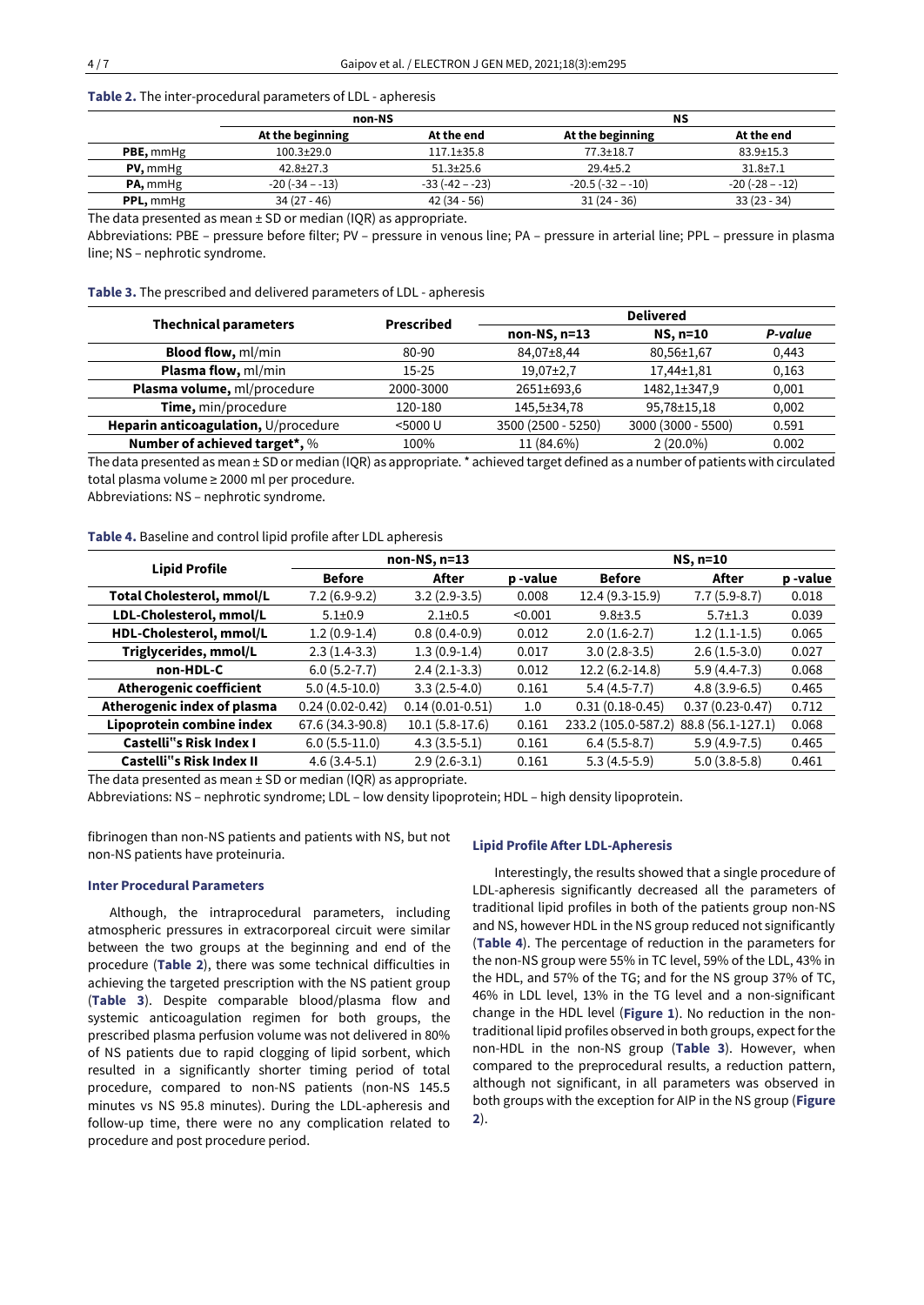## **Table 2.** The inter-procedural parameters of LDL - apheresis

|                  | non-NS           |                  | ΝS                 |                     |  |
|------------------|------------------|------------------|--------------------|---------------------|--|
|                  | At the beginning | At the end       | At the beginning   | At the end          |  |
| <b>PBE, mmHg</b> | $100.3 \pm 29.0$ | $117.1 \pm 35.8$ | $77.3 \pm 18.7$    | $83.9 \pm 15.3$     |  |
| $PV,$ mmHg       | $42.8 + 27.3$    | $51.3+25.6$      | $29.4 \pm 5.2$     | $31.8 \pm 7.1$      |  |
| PA, mmHg         | $-20(-34 - -13)$ | $-33(-42 - -23)$ | $-20.5(-32 - -10)$ | $-20$ $(-28 - -12)$ |  |
| <b>PPL, mmHg</b> | $34(27 - 46)$    | $42(34-56)$      | $31(24-36)$        | $33(23 - 34)$       |  |

The data presented as mean  $\pm$  SD or median (IQR) as appropriate.

Abbreviations: PBE – pressure before filter; PV – pressure in venous line; PA – pressure in arterial line; PPL – pressure in plasma line; NS – nephrotic syndrome.

**Table 3.** The prescribed and delivered parameters of LDL - apheresis

|                                      | Prescribed | <b>Delivered</b>   |                    |         |  |
|--------------------------------------|------------|--------------------|--------------------|---------|--|
| <b>Thechnical parameters</b>         |            | $non-NS, n=13$     | NS, n=10           | P-value |  |
| <b>Blood flow, ml/min</b>            | 80-90      | 84,07±8,44         | 80,56±1,67         | 0,443   |  |
| <b>Plasma flow, ml/min</b>           | $15-25$    | $19,07\pm2,7$      | 17,44±1,81         | 0,163   |  |
| Plasma volume, ml/procedure          | 2000-3000  | 2651±693,6         | 1482, 1±347, 9     | 0,001   |  |
| Time, min/procedure                  | 120-180    | 145,5±34,78        | 95,78±15,18        | 0,002   |  |
| Heparin anticoagulation, U/procedure | $<$ 5000 U | 3500 (2500 - 5250) | 3000 (3000 - 5500) | 0.591   |  |
| Number of achieved target*, %        | 100%       | 11 (84.6%)         | $2(20.0\%)$        | 0.002   |  |

The data presented as mean ± SD or median (IQR) as appropriate. \* achieved target defined as a number of patients with circulated total plasma volume ≥ 2000 ml per procedure.

Abbreviations: NS – nephrotic syndrome.

# **Table 4.** Baseline and control lipid profile after LDL apheresis

| <b>Lipid Profile</b>             | $non-NS, n=13$    |                     |         | NS, n=10            |                     |         |
|----------------------------------|-------------------|---------------------|---------|---------------------|---------------------|---------|
|                                  | <b>Before</b>     | After               | p-value | <b>Before</b>       | After               | p-value |
| <b>Total Cholesterol, mmol/L</b> | $7.2(6.9-9.2)$    | $3.2(2.9-3.5)$      | 0.008   | $12.4(9.3-15.9)$    | $7.7(5.9-8.7)$      | 0.018   |
| LDL-Cholesterol, mmol/L          | $5.1 \pm 0.9$     | $2.1 \pm 0.5$       | < 0.001 | $9.8 \pm 3.5$       | $5.7 \pm 1.3$       | 0.039   |
| HDL-Cholesterol, mmol/L          | $1.2(0.9-1.4)$    | $0.8(0.4-0.9)$      | 0.012   | $2.0(1.6-2.7)$      | $1.2(1.1-1.5)$      | 0.065   |
| Triglycerides, mmol/L            | $2.3(1.4-3.3)$    | $1.3(0.9-1.4)$      | 0.017   | $3.0(2.8-3.5)$      | $2.6(1.5-3.0)$      | 0.027   |
| non-HDL-C                        | $6.0(5.2 - 7.7)$  | $2.4(2.1-3.3)$      | 0.012   | $12.2(6.2-14.8)$    | $5.9(4.4-7.3)$      | 0.068   |
| <b>Atherogenic coefficient</b>   | $5.0(4.5-10.0)$   | $3.3(2.5-4.0)$      | 0.161   | $5.4(4.5-7.7)$      | $4.8(3.9-6.5)$      | 0.465   |
| Atherogenic index of plasma      | $0.24(0.02-0.42)$ | $0.14(0.01 - 0.51)$ | 1.0     | $0.31(0.18-0.45)$   | $0.37(0.23 - 0.47)$ | 0.712   |
| Lipoprotein combine index        | 67.6 (34.3-90.8)  | $10.1(5.8-17.6)$    | 0.161   | 233.2 (105.0-587.2) | 88.8 (56.1-127.1)   | 0.068   |
| <b>Castelli"s Risk Index I</b>   | $6.0(5.5-11.0)$   | $4.3(3.5-5.1)$      | 0.161   | $6.4(5.5-8.7)$      | $5.9(4.9-7.5)$      | 0.465   |
| <b>Castelli</b> "s Risk Index II | $4.6(3.4-5.1)$    | $2.9(2.6-3.1)$      | 0.161   | $5.3(4.5-5.9)$      | $5.0(3.8-5.8)$      | 0.461   |

The data presented as mean  $\pm$  SD or median (IQR) as appropriate.

Abbreviations: NS – nephrotic syndrome; LDL – low density lipoprotein; HDL – high density lipoprotein.

fibrinogen than non-NS patients and patients with NS, but not non-NS patients have proteinuria.

#### **Inter Procedural Parameters**

Although, the intraprocedural parameters, including atmospheric pressures in extracorporeal circuit were similar between the two groups at the beginning and end of the procedure (**Table 2**), there was some technical difficulties in achieving the targeted prescription with the NS patient group (**Table 3**). Despite comparable blood/plasma flow and systemic anticoagulation regimen for both groups, the prescribed plasma perfusion volume was not delivered in 80% of NS patients due to rapid clogging of lipid sorbent, which resulted in a significantly shorter timing period of total procedure, compared to non-NS patients (non-NS 145.5 minutes vs NS 95.8 minutes). During the LDL-apheresis and follow-up time, there were no any complication related to procedure and post procedure period.

## **Lipid Profile After LDL-Apheresis**

Interestingly, the results showed that a single procedure of LDL-apheresis significantly decreased all the parameters of traditional lipid profiles in both of the patients group non-NS and NS, however HDL in the NS group reduced not significantly (**Table 4**). The percentage of reduction in the parameters for the non-NS group were 55% in TC level, 59% of the LDL, 43% in the HDL, and 57% of the TG; and for the NS group 37% of TC, 46% in LDL level, 13% in the TG level and a non-significant change in the HDL level (**Figure 1**). No reduction in the nontraditional lipid profiles observed in both groups, expect for the non-HDL in the non-NS group (**Table 3**). However, when compared to the preprocedural results, a reduction pattern, although not significant, in all parameters was observed in both groups with the exception for AIP in the NS group (**Figure 2**).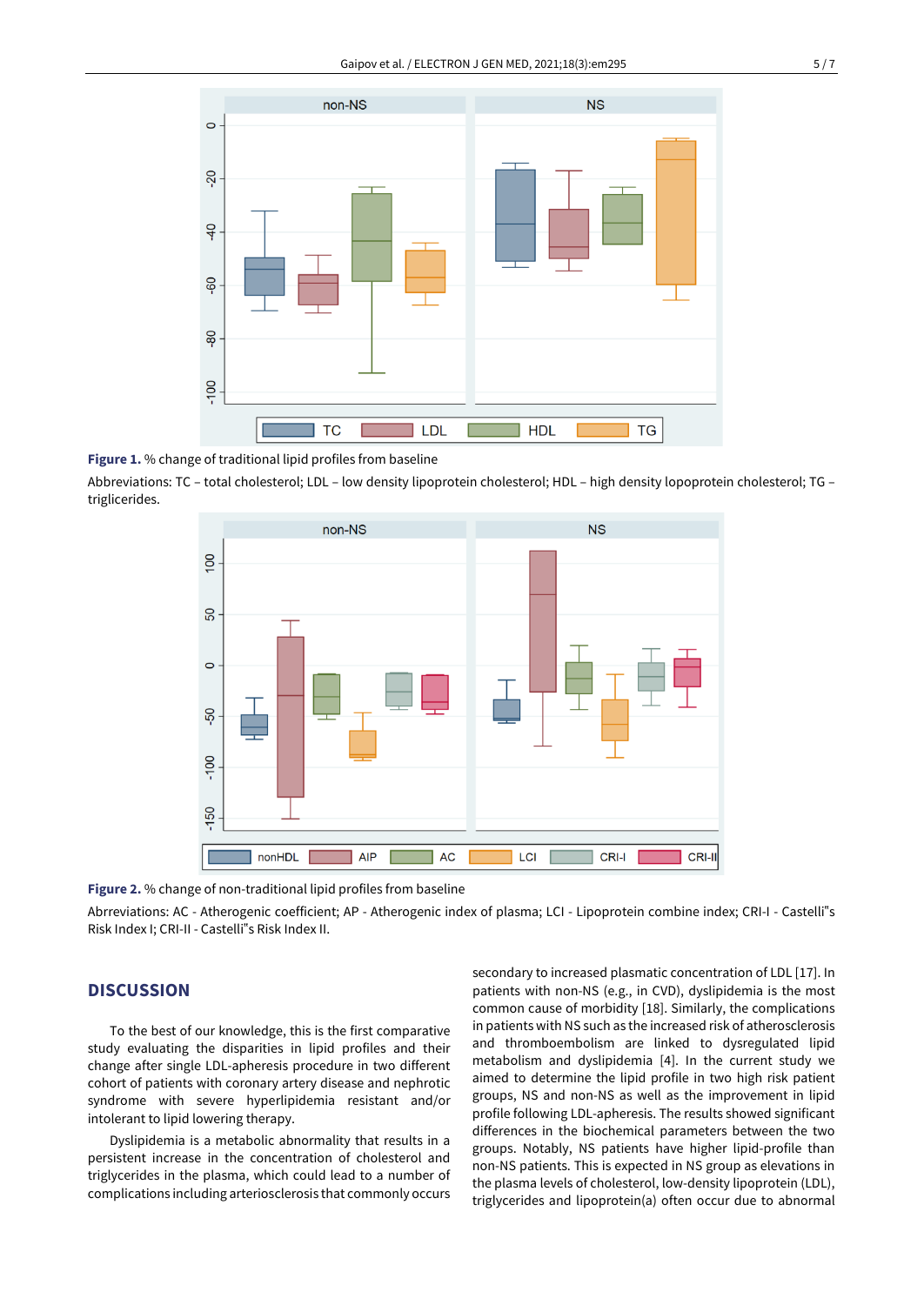

**Figure 1.** % change of traditional lipid profiles from baseline

Abbreviations: TC – total cholesterol; LDL – low density lipoprotein cholesterol; HDL – high density lopoprotein cholesterol; TG – triglicerides.



**Figure 2.** % change of non-traditional lipid profiles from baseline

Abrreviations: AC - Atherogenic coefficient; AP - Atherogenic index of plasma; LCI - Lipoprotein combine index; CRI-I - Castelli"s Risk Index I; CRI-II - Castelli"s Risk Index II.

## **DISCUSSION**

To the best of our knowledge, this is the first comparative study evaluating the disparities in lipid profiles and their change after single LDL-apheresis procedure in two different cohort of patients with coronary artery disease and nephrotic syndrome with severe hyperlipidemia resistant and/or intolerant to lipid lowering therapy.

Dyslipidemia is a metabolic abnormality that results in a persistent increase in the concentration of cholesterol and triglycerides in the plasma, which could lead to a number of complications including arteriosclerosis that commonly occurs secondary to increased plasmatic concentration of LDL [17]. In patients with non-NS (e.g., in CVD), dyslipidemia is the most common cause of morbidity [18]. Similarly, the complications in patients with NS such as the increased risk of atherosclerosis and thromboembolism are linked to dysregulated lipid metabolism and dyslipidemia [4]. In the current study we aimed to determine the lipid profile in two high risk patient groups, NS and non-NS as well as the improvement in lipid profile following LDL-apheresis. The results showed significant differences in the biochemical parameters between the two groups. Notably, NS patients have higher lipid-profile than non-NS patients. This is expected in NS group as elevations in the plasma levels of cholesterol, low-density lipoprotein (LDL), triglycerides and lipoprotein(a) often occur due to abnormal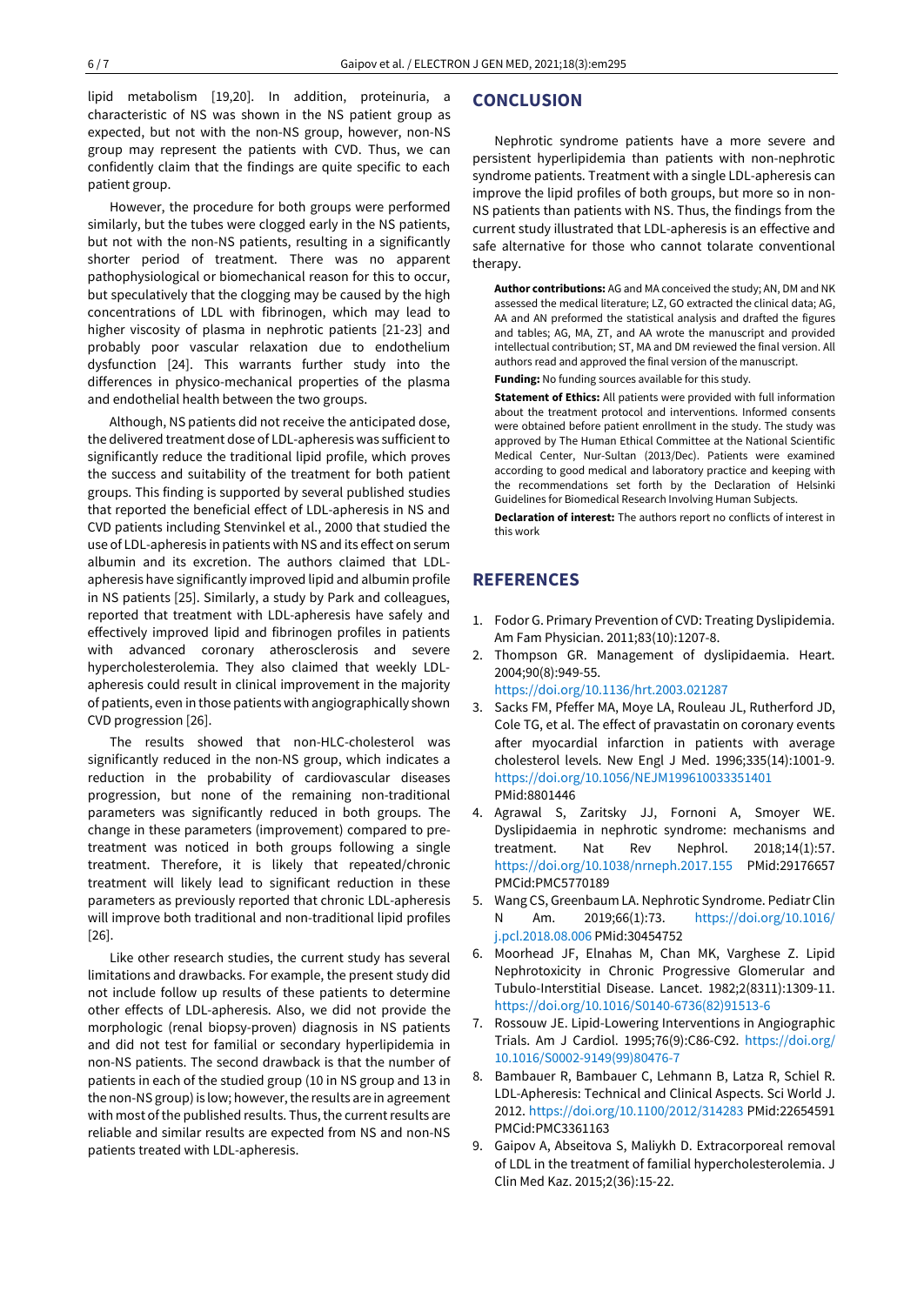lipid metabolism [19,20]. In addition, proteinuria, a characteristic of NS was shown in the NS patient group as expected, but not with the non-NS group, however, non-NS group may represent the patients with CVD. Thus, we can confidently claim that the findings are quite specific to each patient group.

However, the procedure for both groups were performed similarly, but the tubes were clogged early in the NS patients, but not with the non-NS patients, resulting in a significantly shorter period of treatment. There was no apparent pathophysiological or biomechanical reason for this to occur, but speculatively that the clogging may be caused by the high concentrations of LDL with fibrinogen, which may lead to higher viscosity of plasma in nephrotic patients [21-23] and probably poor vascular relaxation due to endothelium dysfunction [24]. This warrants further study into the differences in physico-mechanical properties of the plasma and endothelial health between the two groups.

Although, NS patients did not receive the anticipated dose, the delivered treatment dose of LDL-apheresis was sufficient to significantly reduce the traditional lipid profile, which proves the success and suitability of the treatment for both patient groups. This finding is supported by several published studies that reported the beneficial effect of LDL-apheresis in NS and CVD patients including Stenvinkel et al., 2000 that studied the use of LDL-apheresis in patients with NS and its effect on serum albumin and its excretion. The authors claimed that LDLapheresis have significantly improved lipid and albumin profile in NS patients [25]. Similarly, a study by Park and colleagues, reported that treatment with LDL-apheresis have safely and effectively improved lipid and fibrinogen profiles in patients with advanced coronary atherosclerosis and severe hypercholesterolemia. They also claimed that weekly LDLapheresis could result in clinical improvement in the majority of patients, even in those patients with angiographically shown CVD progression [26].

The results showed that non-HLC-cholesterol was significantly reduced in the non-NS group, which indicates a reduction in the probability of cardiovascular diseases progression, but none of the remaining non-traditional parameters was significantly reduced in both groups. The change in these parameters (improvement) compared to pretreatment was noticed in both groups following a single treatment. Therefore, it is likely that repeated/chronic treatment will likely lead to significant reduction in these parameters as previously reported that chronic LDL-apheresis will improve both traditional and non-traditional lipid profiles [26].

Like other research studies, the current study has several limitations and drawbacks. For example, the present study did not include follow up results of these patients to determine other effects of LDL-apheresis. Also, we did not provide the morphologic (renal biopsy-proven) diagnosis in NS patients and did not test for familial or secondary hyperlipidemia in non-NS patients. The second drawback is that the number of patients in each of the studied group (10 in NS group and 13 in the non-NS group) is low; however, the results are in agreement with most of the published results. Thus, the current results are reliable and similar results are expected from NS and non-NS patients treated with LDL-apheresis.

## **CONCLUSION**

Nephrotic syndrome patients have a more severe and persistent hyperlipidemia than patients with non-nephrotic syndrome patients. Treatment with a single LDL-apheresis can improve the lipid profiles of both groups, but more so in non-NS patients than patients with NS. Thus, the findings from the current study illustrated that LDL-apheresis is an effective and safe alternative for those who cannot tolarate conventional therapy.

**Author contributions:** AG and MA conceived the study; AN, DM and NK assessed the medical literature; LZ, GO extracted the clinical data; AG, AA and AN preformed the statistical analysis and drafted the figures and tables; AG, MA, ZT, and AA wrote the manuscript and provided intellectual contribution; ST, MA and DM reviewed the final version. All authors read and approved the final version of the manuscript.

**Funding:** No funding sources available for this study.

**Statement of Ethics:** All patients were provided with full information about the treatment protocol and interventions. Informed consents were obtained before patient enrollment in the study. The study was approved by The Human Ethical Committee at the National Scientific Medical Center, Nur-Sultan (2013/Dec). Patients were examined according to good medical and laboratory practice and keeping with the recommendations set forth by the Declaration of Helsinki Guidelines for Biomedical Research Involving Human Subjects.

**Declaration of interest:** The authors report no conflicts of interest in this work

# **REFERENCES**

- 1. Fodor G. Primary Prevention of CVD: Treating Dyslipidemia. Am Fam Physician. 2011;83(10):1207-8.
- 2. Thompson GR. Management of dyslipidaemia. Heart. 2004;90(8):949-55.

<https://doi.org/10.1136/hrt.2003.021287>

- 3. Sacks FM, Pfeffer MA, Moye LA, Rouleau JL, Rutherford JD, Cole TG, et al. The effect of pravastatin on coronary events after myocardial infarction in patients with average cholesterol levels. New Engl J Med. 1996;335(14):1001-9. <https://doi.org/10.1056/NEJM199610033351401> PMid:8801446
- 4. Agrawal S, Zaritsky JJ, Fornoni A, Smoyer WE. Dyslipidaemia in nephrotic syndrome: mechanisms and treatment. Nat Rev Nephrol. 2018;14(1):57. <https://doi.org/10.1038/nrneph.2017.155> PMid:29176657 PMCid:PMC5770189
- 5. Wang CS, Greenbaum LA. Nephrotic Syndrome. Pediatr Clin N Am. 2019;66(1):73. [https://doi.org/10.1016/](https://doi.org/10.1016/j.pcl.2018.08.006) [j.pcl.2018.08.006](https://doi.org/10.1016/j.pcl.2018.08.006) PMid:30454752
- 6. Moorhead JF, Elnahas M, Chan MK, Varghese Z. Lipid Nephrotoxicity in Chronic Progressive Glomerular and Tubulo-Interstitial Disease. Lancet. 1982;2(8311):1309-11. [https://doi.org/10.1016/S0140-6736\(82\)91513-6](https://doi.org/10.1016/S0140-6736(82)91513-6)
- 7. Rossouw JE. Lipid-Lowering Interventions in Angiographic Trials. Am J Cardiol. 1995;76(9):C86-C92. [https://doi.org/](https://doi.org/10.1016/S0002-9149(99)80476-7) [10.1016/S0002-9149\(99\)80476-7](https://doi.org/10.1016/S0002-9149(99)80476-7)
- 8. Bambauer R, Bambauer C, Lehmann B, Latza R, Schiel R. LDL-Apheresis: Technical and Clinical Aspects. Sci World J. 2012. <https://doi.org/10.1100/2012/314283> PMid:22654591 PMCid:PMC3361163
- 9. Gaipov A, Abseitova S, Maliykh D. Extracorporeal removal of LDL in the treatment of familial hypercholesterolemia. J Clin Med Kaz. 2015;2(36):15-22.